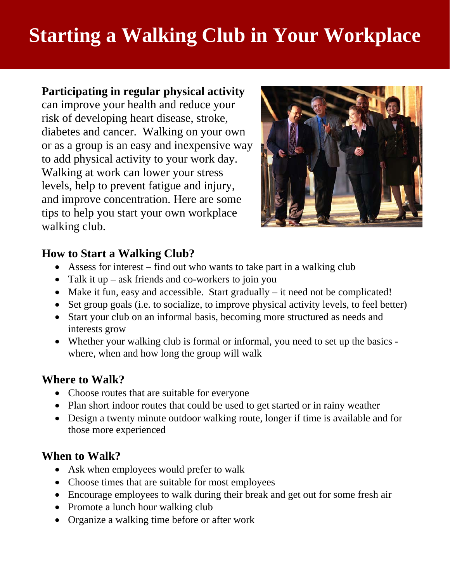# **Starting a Walking Club in Your Workplace**

### **Participating in regular physical activity** can improve your health and reduce your risk of developing heart disease, stroke, diabetes and cancer. Walking on your own or as a group is an easy and inexpensive way to add physical activity to your work day. Walking at work can lower your stress levels, help to prevent fatigue and injury, and improve concentration. Here are some tips to help you start your own workplace walking club.



# **How to Start a Walking Club?**

- Assess for interest find out who wants to take part in a walking club
- Talk it up ask friends and co-workers to join you
- Make it fun, easy and accessible. Start gradually it need not be complicated!
- Set group goals (i.e. to socialize, to improve physical activity levels, to feel better)
- Start your club on an informal basis, becoming more structured as needs and interests grow
- Whether your walking club is formal or informal, you need to set up the basics where, when and how long the group will walk

#### **Where to Walk?**

- Choose routes that are suitable for everyone
- Plan short indoor routes that could be used to get started or in rainy weather
- Design a twenty minute outdoor walking route, longer if time is available and for those more experienced

#### **When to Walk?**

- Ask when employees would prefer to walk
- Choose times that are suitable for most employees
- Encourage employees to walk during their break and get out for some fresh air
- Promote a lunch hour walking club
- Organize a walking time before or after work